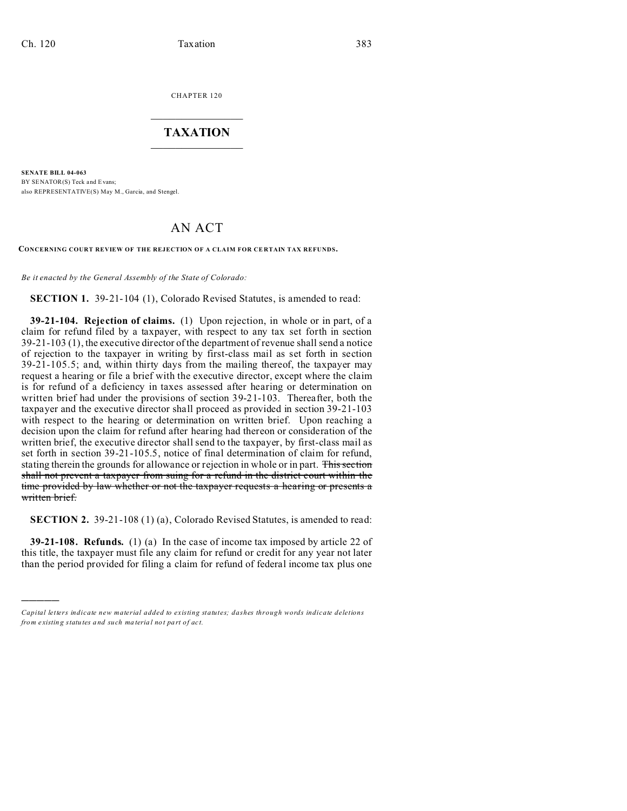)))))

CHAPTER 120  $\overline{\phantom{a}}$  , where  $\overline{\phantom{a}}$ 

## **TAXATION**  $\_$

**SENATE BILL 04-063** BY SENATOR(S) Teck and Evans: also REPRESENTATIVE(S) May M., Garcia, and Stengel.

## AN ACT

**CONCERNING COURT REVIEW OF THE REJECTION OF A CLAIM FOR CE RTAIN TAX REFUNDS.**

*Be it enacted by the General Assembly of the State of Colorado:*

**SECTION 1.** 39-21-104 (1), Colorado Revised Statutes, is amended to read:

**39-21-104. Rejection of claims.** (1) Upon rejection, in whole or in part, of a claim for refund filed by a taxpayer, with respect to any tax set forth in section 39-21-103 (1), the executive director of the department of revenue shall send a notice of rejection to the taxpayer in writing by first-class mail as set forth in section 39-21-105.5; and, within thirty days from the mailing thereof, the taxpayer may request a hearing or file a brief with the executive director, except where the claim is for refund of a deficiency in taxes assessed after hearing or determination on written brief had under the provisions of section 39-21-103. Thereafter, both the taxpayer and the executive director shall proceed as provided in section 39-21-103 with respect to the hearing or determination on written brief. Upon reaching a decision upon the claim for refund after hearing had thereon or consideration of the written brief, the executive director shall send to the taxpayer, by first-class mail as set forth in section 39-21-105.5, notice of final determination of claim for refund, stating therein the grounds for allowance or rejection in whole or in part. This section shall not prevent a taxpayer from suing for a refund in the district court within the time provided by law whether or not the taxpayer requests a hearing or presents a written brief.

**SECTION 2.** 39-21-108 (1) (a), Colorado Revised Statutes, is amended to read:

**39-21-108. Refunds.** (1) (a) In the case of income tax imposed by article 22 of this title, the taxpayer must file any claim for refund or credit for any year not later than the period provided for filing a claim for refund of federal income tax plus one

*Capital letters indicate new material added to existing statutes; dashes through words indicate deletions from e xistin g statu tes a nd such ma teria l no t pa rt of ac t.*